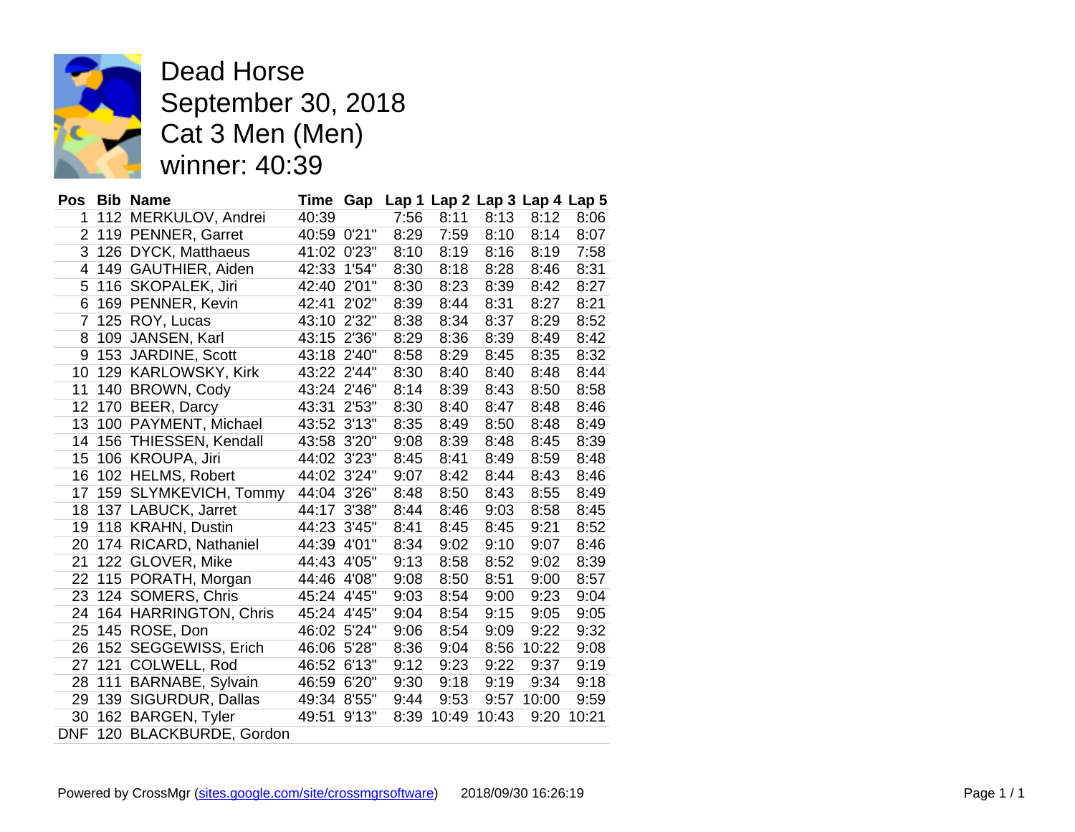

Dead Horse September 30, 2018 Cat 3 Men (Men) winner: 40:39

|    |     | Pos Bib Name               | Time Gap    |       |      |       | Lap 1 Lap 2 Lap 3 Lap 4 Lap 5 |       |       |
|----|-----|----------------------------|-------------|-------|------|-------|-------------------------------|-------|-------|
| 1  |     | 112 MERKULOV, Andrei       | 40:39       |       | 7:56 | 8:11  | 8:13                          | 8:12  | 8:06  |
| 2  |     | 119 PENNER, Garret         | 40:59 0'21" |       | 8:29 | 7:59  | 8:10                          | 8:14  | 8:07  |
| 3  |     | 126 DYCK, Matthaeus        | 41:02 0'23" |       | 8:10 | 8:19  | 8:16                          | 8:19  | 7:58  |
| 4  |     | 149 GAUTHIER, Aiden        | 42:33       | 1'54" | 8:30 | 8:18  | 8:28                          | 8:46  | 8:31  |
| 5  |     | 116 SKOPALEK, Jiri         | 42:40 2'01" |       | 8:30 | 8:23  | 8:39                          | 8:42  | 8:27  |
| 6  |     | 169 PENNER, Kevin          | 42:41       | 2'02" | 8:39 | 8:44  | 8:31                          | 8:27  | 8:21  |
| 7  |     | 125 ROY, Lucas             | 43:10 2'32" |       | 8:38 | 8:34  | 8:37                          | 8:29  | 8:52  |
| 8  | 109 | JANSEN, Karl               | 43:15 2'36" |       | 8:29 | 8:36  | 8:39                          | 8:49  | 8:42  |
| 9  |     | 153 JARDINE, Scott         | 43:18 2'40" |       | 8:58 | 8:29  | 8:45                          | 8:35  | 8:32  |
| 10 |     | 129 KARLOWSKY, Kirk        | 43:22 2'44" |       | 8:30 | 8:40  | 8:40                          | 8:48  | 8:44  |
| 11 |     | 140 BROWN, Cody            | 43:24 2'46" |       | 8:14 | 8:39  | 8:43                          | 8:50  | 8:58  |
| 12 |     | 170 BEER, Darcy            | 43:31       | 2'53" | 8:30 | 8:40  | 8:47                          | 8:48  | 8:46  |
| 13 |     | 100 PAYMENT, Michael       | 43:52 3'13" |       | 8:35 | 8:49  | 8:50                          | 8:48  | 8:49  |
| 14 |     | 156 THIESSEN, Kendall      | 43:58 3'20" |       | 9:08 | 8:39  | 8:48                          | 8:45  | 8:39  |
| 15 |     | 106 KROUPA, Jiri           | 44:02       | 3'23" | 8:45 | 8:41  | 8:49                          | 8:59  | 8:48  |
| 16 |     | 102 HELMS, Robert          | 44:02 3'24" |       | 9:07 | 8:42  | 8:44                          | 8:43  | 8:46  |
| 17 |     | 159 SLYMKEVICH, Tommy      | 44:04 3'26" |       | 8:48 | 8:50  | 8:43                          | 8:55  | 8:49  |
| 18 |     | 137 LABUCK, Jarret         | 44:17       | 3'38" | 8:44 | 8:46  | 9:03                          | 8:58  | 8:45  |
| 19 |     | 118 KRAHN, Dustin          | 44:23 3'45" |       | 8:41 | 8:45  | 8:45                          | 9:21  | 8:52  |
| 20 |     | 174 RICARD, Nathaniel      | 44:39 4'01" |       | 8:34 | 9:02  | 9:10                          | 9:07  | 8:46  |
| 21 |     | 122 GLOVER, Mike           | 44:43 4'05" |       | 9:13 | 8:58  | 8:52                          | 9:02  | 8:39  |
| 22 |     | 115 PORATH, Morgan         | 44:46 4'08" |       | 9:08 | 8:50  | 8:51                          | 9:00  | 8:57  |
| 23 |     | 124 SOMERS, Chris          | 45:24 4'45" |       | 9:03 | 8:54  | 9:00                          | 9:23  | 9:04  |
| 24 |     | 164 HARRINGTON, Chris      | 45:24 4'45" |       | 9:04 | 8:54  | 9:15                          | 9:05  | 9:05  |
| 25 |     | 145 ROSE, Don              | 46:02 5'24" |       | 9:06 | 8:54  | 9:09                          | 9:22  | 9:32  |
| 26 |     | 152 SEGGEWISS, Erich       | 46:06 5'28" |       | 8:36 | 9:04  | 8:56                          | 10:22 | 9:08  |
| 27 | 121 | COLWELL, Rod               | 46:52 6'13" |       | 9:12 | 9:23  | 9:22                          | 9:37  | 9:19  |
| 28 | 111 | BARNABE, Sylvain           | 46:59 6'20" |       | 9:30 | 9:18  | 9:19                          | 9:34  | 9:18  |
| 29 | 139 | SIGURDUR, Dallas           | 49:34 8'55" |       | 9:44 | 9:53  | 9:57                          | 10:00 | 9:59  |
| 30 |     | 162 BARGEN, Tyler          | 49:51       | 9'13" | 8:39 | 10:49 | 10:43                         | 9:20  | 10:21 |
|    |     | DNF 120 BLACKBURDE, Gordon |             |       |      |       |                               |       |       |